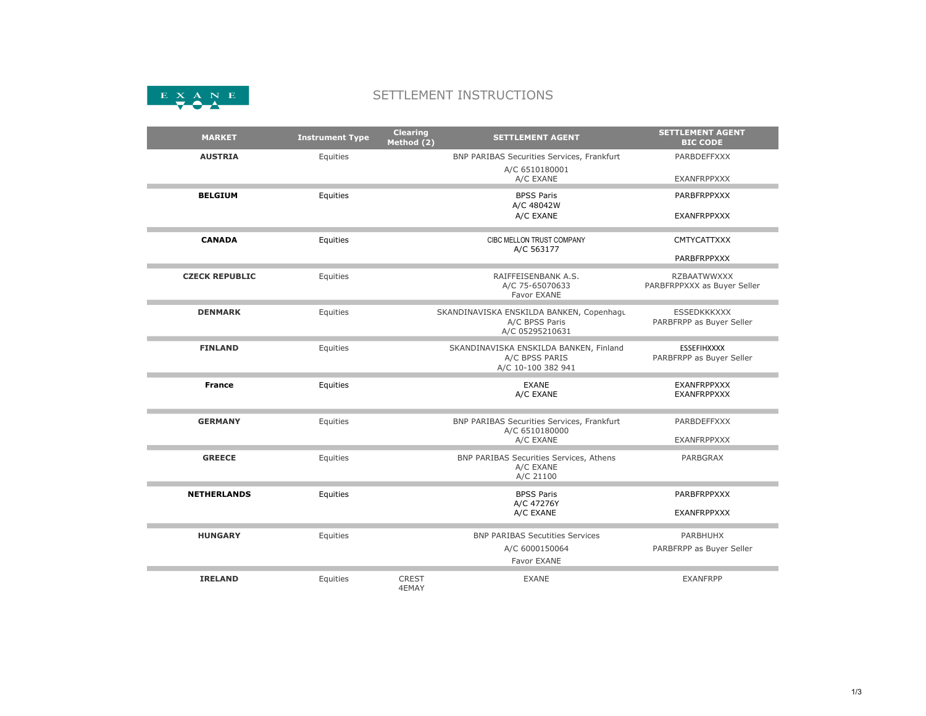

## SETTLEMENT INSTRUCTIONS

| <b>MARKET</b>         | <b>Instrument Type</b> | <b>Clearing</b><br>Method (2) | <b>SETTLEMENT AGENT</b>                                                        | <b>SETTLEMENT AGENT</b><br><b>BIC CODE</b>        |
|-----------------------|------------------------|-------------------------------|--------------------------------------------------------------------------------|---------------------------------------------------|
| <b>AUSTRIA</b>        | Equities               |                               | BNP PARIBAS Securities Services, Frankfurt<br>A/C 6510180001                   | <b>PARBDEFFXXX</b>                                |
|                       |                        |                               | A/C EXANE                                                                      | <b>EXANFRPPXXX</b>                                |
| <b>BELGIUM</b>        | Equities               |                               | <b>BPSS Paris</b><br>A/C 48042W                                                | PARBFRPPXXX                                       |
|                       |                        |                               | A/C EXANE                                                                      | <b>EXANFRPPXXX</b>                                |
| <b>CANADA</b>         | Equities               |                               | CIBC MELLON TRUST COMPANY<br>A/C 563177                                        | <b>CMTYCATTXXX</b>                                |
|                       |                        |                               |                                                                                | <b>PARBFRPPXXX</b>                                |
| <b>CZECK REPUBLIC</b> | Equities               |                               | RAIFFEISENBANK A.S.<br>A/C 75-65070633<br>Favor EXANE                          | <b>RZBAATWWXXX</b><br>PARBFRPPXXX as Buyer Seller |
| <b>DENMARK</b>        | Equities               |                               | SKANDINAVISKA ENSKILDA BANKEN, Copenhagu<br>A/C BPSS Paris<br>A/C 05295210631  | <b>ESSEDKKKXXX</b><br>PARBFRPP as Buyer Seller    |
| <b>FINLAND</b>        | Equities               |                               | SKANDINAVISKA ENSKILDA BANKEN, Finland<br>A/C BPSS PARIS<br>A/C 10-100 382 941 | <b>ESSEFIHXXXX</b><br>PARBFRPP as Buyer Seller    |
| <b>France</b>         | Equities               |                               | <b>EXANE</b><br>A/C EXANE                                                      | <b>EXANFRPPXXX</b><br><b>EXANFRPPXXX</b>          |
| <b>GERMANY</b>        | Equities               |                               | BNP PARIBAS Securities Services, Frankfurt<br>A/C 6510180000                   | <b>PARBDEFFXXX</b>                                |
|                       |                        |                               | A/C EXANE                                                                      | <b>EXANFRPPXXX</b>                                |
| <b>GREECE</b>         | Equities               |                               | BNP PARIBAS Securities Services, Athens<br>A/C EXANE<br>A/C 21100              | <b>PARBGRAX</b>                                   |
| <b>NETHERLANDS</b>    | Equities               |                               | <b>BPSS Paris</b><br>A/C 47276Y                                                | PARBFRPPXXX                                       |
|                       |                        |                               | A/C EXANE                                                                      | <b>EXANFRPPXXX</b>                                |
| <b>HUNGARY</b>        | Equities               |                               | <b>BNP PARIBAS Secutities Services</b>                                         | <b>PARBHUHX</b>                                   |
|                       |                        |                               | A/C 6000150064<br>Favor EXANE                                                  | PARBFRPP as Buyer Seller                          |
| <b>IRELAND</b>        | Equities               | <b>CREST</b><br>4EMAY         | <b>EXANE</b>                                                                   | <b>EXANFRPP</b>                                   |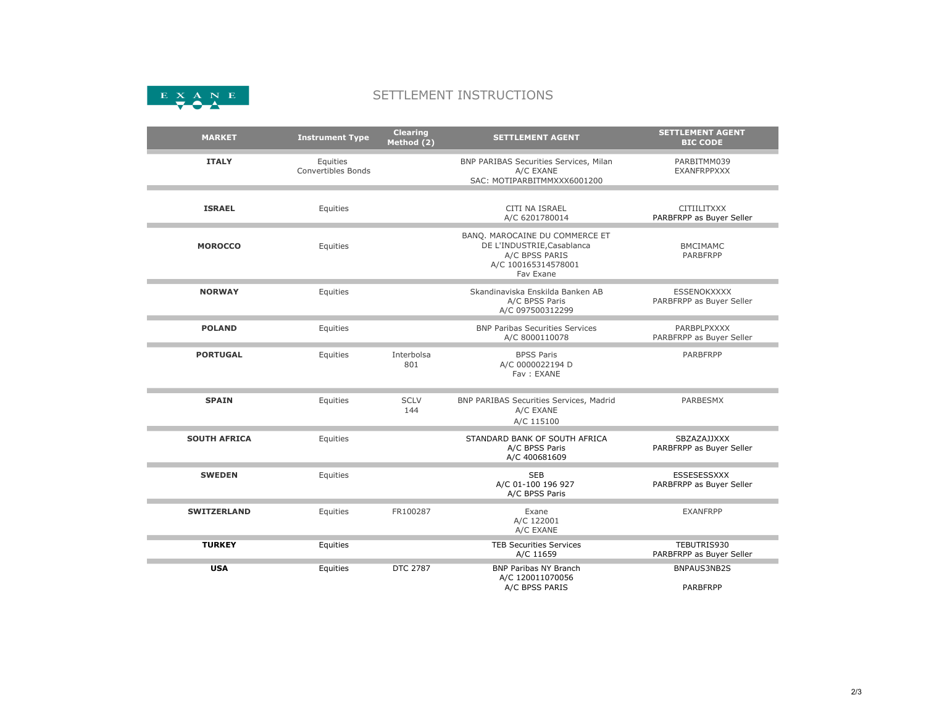

## SETTLEMENT INSTRUCTIONS

| <b>MARKET</b>       | <b>Instrument Type</b>                | <b>Clearing</b><br>Method (2) | <b>SETTLEMENT AGENT</b>                                                                                            | <b>SETTLEMENT AGENT</b><br><b>BIC CODE</b>     |
|---------------------|---------------------------------------|-------------------------------|--------------------------------------------------------------------------------------------------------------------|------------------------------------------------|
| <b>ITALY</b>        | Equities<br><b>Convertibles Bonds</b> |                               | BNP PARIBAS Securities Services, Milan<br>A/C EXANE<br>SAC: MOTIPARBITMMXXX6001200                                 | PARBITMM039<br><b>EXANFRPPXXX</b>              |
| <b>ISRAEL</b>       | Equities                              |                               | CITI NA ISRAEL<br>A/C 6201780014                                                                                   | <b>CITIILITXXX</b><br>PARBFRPP as Buyer Seller |
| <b>MOROCCO</b>      | Equities                              |                               | BANQ. MAROCAINE DU COMMERCE ET<br>DE L'INDUSTRIE, Casablanca<br>A/C BPSS PARIS<br>A/C 100165314578001<br>Fav Exane | <b>BMCIMAMC</b><br><b>PARBFRPP</b>             |
| <b>NORWAY</b>       | Equities                              |                               | Skandinaviska Enskilda Banken AB<br>A/C BPSS Paris<br>A/C 097500312299                                             | ESSENOKXXXX<br>PARBFRPP as Buyer Seller        |
| <b>POLAND</b>       | Equities                              |                               | <b>BNP Paribas Securities Services</b><br>A/C 8000110078                                                           | PARBPLPXXXX<br>PARBFRPP as Buyer Seller        |
| <b>PORTUGAL</b>     | Equities                              | Interbolsa<br>801             | <b>BPSS Paris</b><br>A/C 0000022194 D<br>Fav: EXANE                                                                | <b>PARBFRPP</b>                                |
| <b>SPAIN</b>        | Equities                              | <b>SCLV</b><br>144            | BNP PARIBAS Securities Services, Madrid<br>A/C EXANE<br>A/C 115100                                                 | <b>PARBESMX</b>                                |
| <b>SOUTH AFRICA</b> | Equities                              |                               | STANDARD BANK OF SOUTH AFRICA<br>A/C BPSS Paris<br>A/C 400681609                                                   | SBZAZAJJXXX<br>PARBFRPP as Buyer Seller        |
| <b>SWEDEN</b>       | Equities                              |                               | <b>SEB</b><br>A/C 01-100 196 927<br>A/C BPSS Paris                                                                 | ESSESESSXXX<br>PARBFRPP as Buyer Seller        |
| <b>SWITZERLAND</b>  | Equities                              | FR100287                      | Exane<br>A/C 122001<br>A/C EXANE                                                                                   | <b>EXANFRPP</b>                                |
| <b>TURKEY</b>       | Equities                              |                               | <b>TEB Securities Services</b><br>A/C 11659                                                                        | TEBUTRIS930<br>PARBFRPP as Buyer Seller        |
| <b>USA</b>          | Equities                              | DTC 2787                      | <b>BNP Paribas NY Branch</b><br>A/C 120011070056<br>A/C BPSS PARIS                                                 | BNPAUS3NB2S<br><b>PARBFRPP</b>                 |